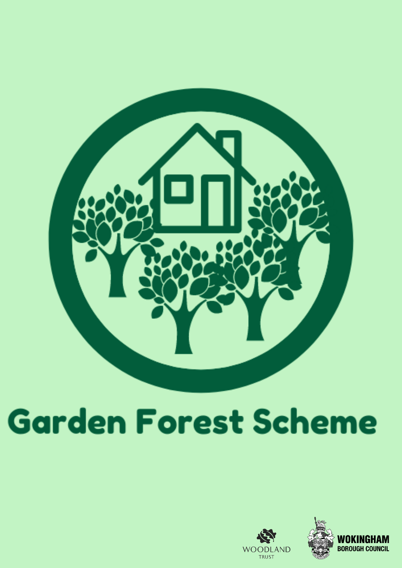

# **Garden Forest Scheme**

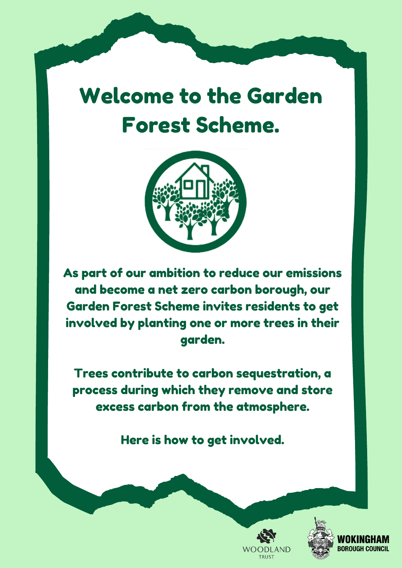# Welcome to the Garden Forest Scheme.



As part of our ambition to reduce our emissions and become a net zero carbon borough, our Garden Forest Scheme invites residents to get involved by planting one or more trees in their garden.

Trees contribute to carbon sequestration, a process during which they remove and store excess carbon from the atmosphere.

Here is how to get involved.



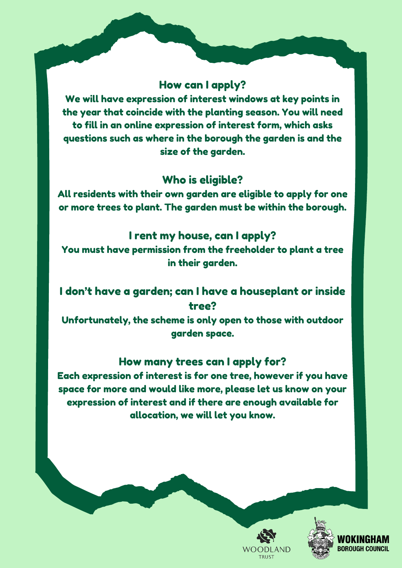#### How can I apply?

We will have expression of interest windows at key points in the year that coincide with the planting season. You will need to fill in an online expression of interest form, which asks questions such as where in the borough the garden is and the size of the garden.

#### Who is eligible?

All residents with their own garden are eligible to apply for one or more trees to plant. The garden must be within the borough.

#### I rent my house, can I apply?

You must have permission from the freeholder to plant a tree in their garden.

# I don't have a garden; can I have a houseplant or inside tree?

Unfortunately, the scheme is only open to those with outdoor garden space.

#### How many trees can I apply for?

Each expression of interest is for one tree, however if you have space for more and would like more, please let us know on your expression of interest and if there are enough available for allocation, we will let you know.



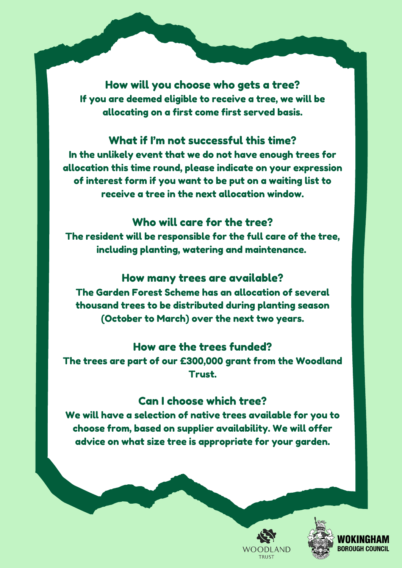How will you choose who gets a tree? If you are deemed eligible to receive a tree, we will be allocating on a first come first served basis.

#### What if I'm not successful this time?

In the unlikely event that we do not have enough trees for allocation this time round, please indicate on your expression of interest form if you want to be put on a waiting list to receive a tree in the next allocation window.

#### Who will care for the tree?

The resident will be responsible for the full care of the tree, including planting, watering and maintenance.

#### How many trees are available?

The Garden Forest Scheme has an allocation of several thousand trees to be distributed during planting season (October to March) over the next two years.

#### How are the trees funded?

The trees are part of our £300,000 grant from the Woodland Trust.

#### Can I choose which tree?

We will have a selection of native trees available for you to choose from, based on supplier availability. We will offer advice on what size tree is appropriate for your garden.